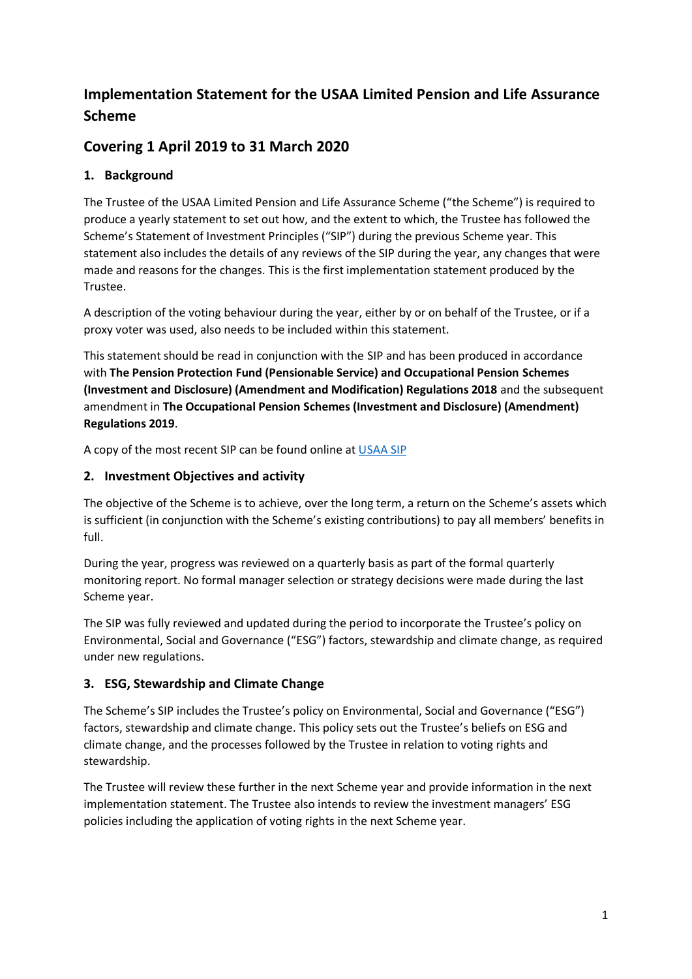# **Implementation Statement for the USAA Limited Pension and Life Assurance Scheme**

# **Covering 1 April 2019 to 31 March 2020**

# **1. Background**

The Trustee of the USAA Limited Pension and Life Assurance Scheme ("the Scheme") is required to produce a yearly statement to set out how, and the extent to which, the Trustee has followed the Scheme's Statement of Investment Principles ("SIP") during the previous Scheme year. This statement also includes the details of any reviews of the SIP during the year, any changes that were made and reasons for the changes. This is the first implementation statement produced by the Trustee.

A description of the voting behaviour during the year, either by or on behalf of the Trustee, or if a proxy voter was used, also needs to be included within this statement.

This statement should be read in conjunction with the SIP and has been produced in accordance with **The Pension Protection Fund (Pensionable Service) and Occupational Pension Schemes (Investment and Disclosure) (Amendment and Modification) Regulations 2018** and the subsequent amendment in **The Occupational Pension Schemes (Investment and Disclosure) (Amendment) Regulations 2019**.

A copy of the most recent SIP can be found online at [USAA SIP](https://iconic-ptluk.s3.eu-west-2.amazonaws.com/s3fs-public/USAA-SIP-2020-min.pdf)

## **2. Investment Objectives and activity**

The objective of the Scheme is to achieve, over the long term, a return on the Scheme's assets which is sufficient (in conjunction with the Scheme's existing contributions) to pay all members' benefits in full.

During the year, progress was reviewed on a quarterly basis as part of the formal quarterly monitoring report. No formal manager selection or strategy decisions were made during the last Scheme year.

The SIP was fully reviewed and updated during the period to incorporate the Trustee's policy on Environmental, Social and Governance ("ESG") factors, stewardship and climate change, as required under new regulations.

# **3. ESG, Stewardship and Climate Change**

The Scheme's SIP includes the Trustee's policy on Environmental, Social and Governance ("ESG") factors, stewardship and climate change. This policy sets out the Trustee's beliefs on ESG and climate change, and the processes followed by the Trustee in relation to voting rights and stewardship.

The Trustee will review these further in the next Scheme year and provide information in the next implementation statement. The Trustee also intends to review the investment managers' ESG policies including the application of voting rights in the next Scheme year.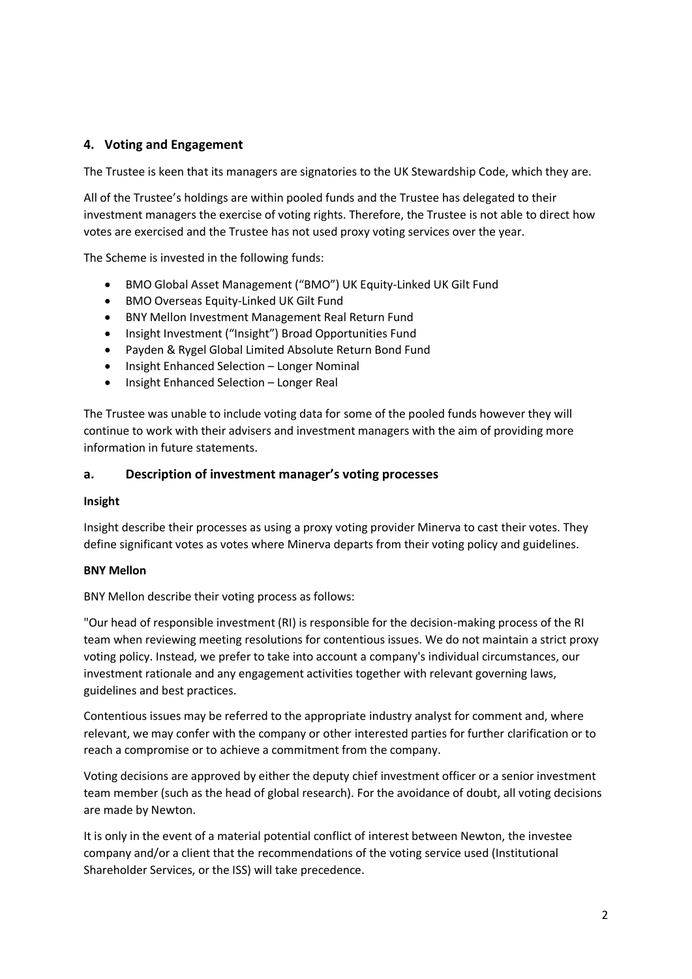## **4. Voting and Engagement**

The Trustee is keen that its managers are signatories to the UK Stewardship Code, which they are.

All of the Trustee's holdings are within pooled funds and the Trustee has delegated to their investment managers the exercise of voting rights. Therefore, the Trustee is not able to direct how votes are exercised and the Trustee has not used proxy voting services over the year.

The Scheme is invested in the following funds:

- BMO Global Asset Management ("BMO") UK Equity-Linked UK Gilt Fund
- BMO Overseas Equity-Linked UK Gilt Fund
- BNY Mellon Investment Management Real Return Fund
- Insight Investment ("Insight") Broad Opportunities Fund
- Payden & Rygel Global Limited Absolute Return Bond Fund
- Insight Enhanced Selection Longer Nominal
- Insight Enhanced Selection Longer Real

The Trustee was unable to include voting data for some of the pooled funds however they will continue to work with their advisers and investment managers with the aim of providing more information in future statements.

#### **a. Description of investment manager's voting processes**

#### **Insight**

Insight describe their processes as using a proxy voting provider Minerva to cast their votes. They define significant votes as votes where Minerva departs from their voting policy and guidelines.

#### **BNY Mellon**

BNY Mellon describe their voting process as follows:

"Our head of responsible investment (RI) is responsible for the decision-making process of the RI team when reviewing meeting resolutions for contentious issues. We do not maintain a strict proxy voting policy. Instead, we prefer to take into account a company's individual circumstances, our investment rationale and any engagement activities together with relevant governing laws, guidelines and best practices.

Contentious issues may be referred to the appropriate industry analyst for comment and, where relevant, we may confer with the company or other interested parties for further clarification or to reach a compromise or to achieve a commitment from the company.

Voting decisions are approved by either the deputy chief investment officer or a senior investment team member (such as the head of global research). For the avoidance of doubt, all voting decisions are made by Newton.

It is only in the event of a material potential conflict of interest between Newton, the investee company and/or a client that the recommendations of the voting service used (Institutional Shareholder Services, or the ISS) will take precedence.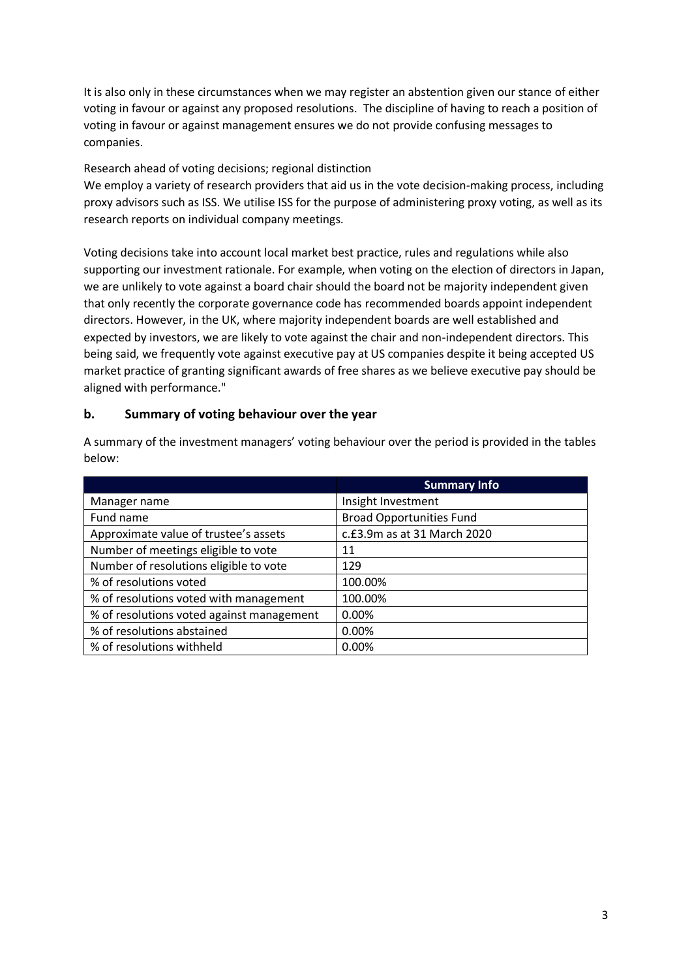It is also only in these circumstances when we may register an abstention given our stance of either voting in favour or against any proposed resolutions. The discipline of having to reach a position of voting in favour or against management ensures we do not provide confusing messages to companies.

### Research ahead of voting decisions; regional distinction

We employ a variety of research providers that aid us in the vote decision-making process, including proxy advisors such as ISS. We utilise ISS for the purpose of administering proxy voting, as well as its research reports on individual company meetings.

Voting decisions take into account local market best practice, rules and regulations while also supporting our investment rationale. For example, when voting on the election of directors in Japan, we are unlikely to vote against a board chair should the board not be majority independent given that only recently the corporate governance code has recommended boards appoint independent directors. However, in the UK, where majority independent boards are well established and expected by investors, we are likely to vote against the chair and non-independent directors. This being said, we frequently vote against executive pay at US companies despite it being accepted US market practice of granting significant awards of free shares as we believe executive pay should be aligned with performance."

## **b. Summary of voting behaviour over the year**

|                                           | <b>Summary Info</b>             |
|-------------------------------------------|---------------------------------|
| Manager name                              | Insight Investment              |
| Fund name                                 | <b>Broad Opportunities Fund</b> |
| Approximate value of trustee's assets     | c.£3.9m as at 31 March 2020     |
| Number of meetings eligible to vote       | 11                              |
| Number of resolutions eligible to vote    | 129                             |
| % of resolutions voted                    | 100.00%                         |
| % of resolutions voted with management    | 100.00%                         |
| % of resolutions voted against management | 0.00%                           |
| % of resolutions abstained                | 0.00%                           |
| % of resolutions withheld                 | 0.00%                           |

A summary of the investment managers' voting behaviour over the period is provided in the tables below: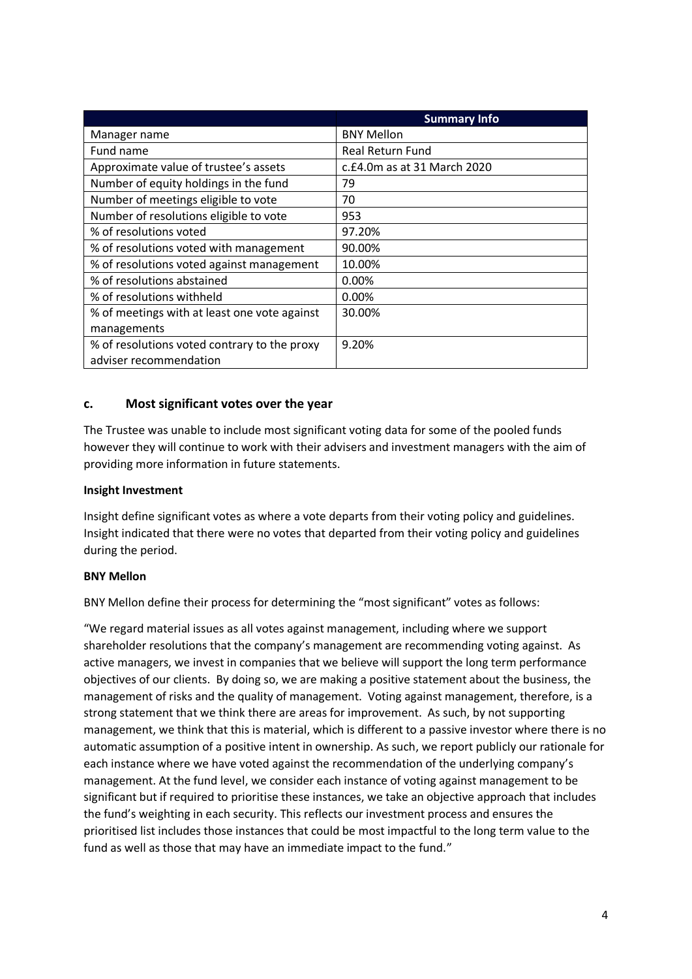|                                              | <b>Summary Info</b>         |
|----------------------------------------------|-----------------------------|
| Manager name                                 | <b>BNY Mellon</b>           |
| Fund name                                    | <b>Real Return Fund</b>     |
| Approximate value of trustee's assets        | c.£4.0m as at 31 March 2020 |
| Number of equity holdings in the fund        | 79                          |
| Number of meetings eligible to vote          | 70                          |
| Number of resolutions eligible to vote       | 953                         |
| % of resolutions voted                       | 97.20%                      |
| % of resolutions voted with management       | 90.00%                      |
| % of resolutions voted against management    | 10.00%                      |
| % of resolutions abstained                   | 0.00%                       |
| % of resolutions withheld                    | $0.00\%$                    |
| % of meetings with at least one vote against | 30.00%                      |
| managements                                  |                             |
| % of resolutions voted contrary to the proxy | 9.20%                       |
| adviser recommendation                       |                             |

### **c. Most significant votes over the year**

The Trustee was unable to include most significant voting data for some of the pooled funds however they will continue to work with their advisers and investment managers with the aim of providing more information in future statements.

#### **Insight Investment**

Insight define significant votes as where a vote departs from their voting policy and guidelines. Insight indicated that there were no votes that departed from their voting policy and guidelines during the period.

#### **BNY Mellon**

BNY Mellon define their process for determining the "most significant" votes as follows:

"We regard material issues as all votes against management, including where we support shareholder resolutions that the company's management are recommending voting against. As active managers, we invest in companies that we believe will support the long term performance objectives of our clients. By doing so, we are making a positive statement about the business, the management of risks and the quality of management. Voting against management, therefore, is a strong statement that we think there are areas for improvement. As such, by not supporting management, we think that this is material, which is different to a passive investor where there is no automatic assumption of a positive intent in ownership. As such, we report publicly our rationale for each instance where we have voted against the recommendation of the underlying company's management. At the fund level, we consider each instance of voting against management to be significant but if required to prioritise these instances, we take an objective approach that includes the fund's weighting in each security. This reflects our investment process and ensures the prioritised list includes those instances that could be most impactful to the long term value to the fund as well as those that may have an immediate impact to the fund."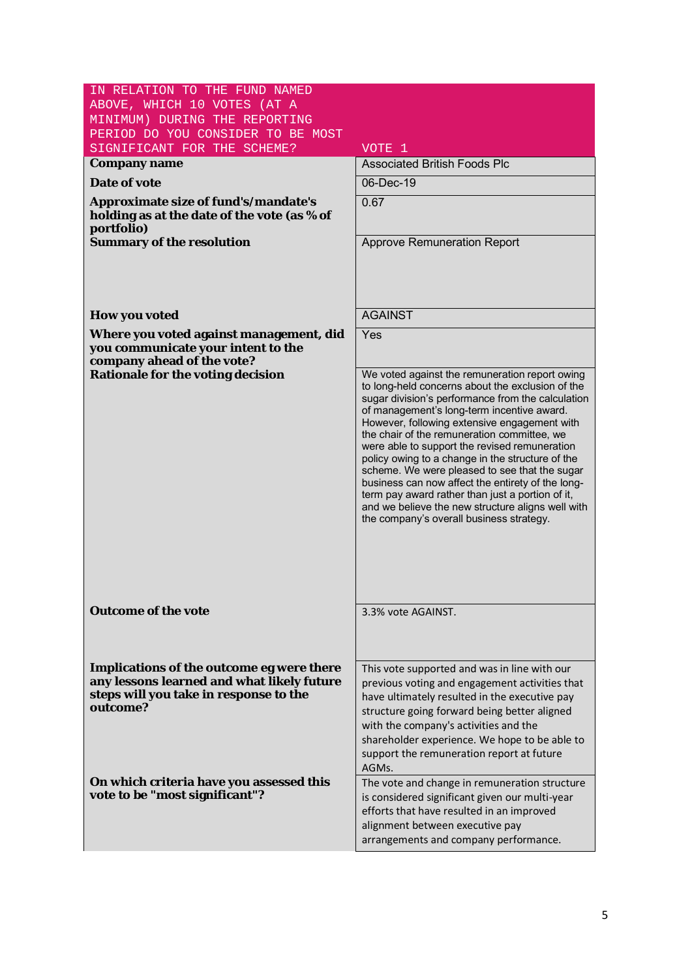| IN RELATION TO THE FUND NAMED                                                                                                                 |                                                                                                                                                                                                                                                                                                                                                                                                                                                                                                                                                                                                                                                                      |
|-----------------------------------------------------------------------------------------------------------------------------------------------|----------------------------------------------------------------------------------------------------------------------------------------------------------------------------------------------------------------------------------------------------------------------------------------------------------------------------------------------------------------------------------------------------------------------------------------------------------------------------------------------------------------------------------------------------------------------------------------------------------------------------------------------------------------------|
| ABOVE, WHICH 10 VOTES (AT A                                                                                                                   |                                                                                                                                                                                                                                                                                                                                                                                                                                                                                                                                                                                                                                                                      |
| MINIMUM) DURING THE REPORTING<br>PERIOD DO YOU CONSIDER TO BE MOST                                                                            |                                                                                                                                                                                                                                                                                                                                                                                                                                                                                                                                                                                                                                                                      |
| SIGNIFICANT FOR THE SCHEME?                                                                                                                   | VOTE 1                                                                                                                                                                                                                                                                                                                                                                                                                                                                                                                                                                                                                                                               |
| Company name                                                                                                                                  | <b>Associated British Foods Plc</b>                                                                                                                                                                                                                                                                                                                                                                                                                                                                                                                                                                                                                                  |
| Date of vote                                                                                                                                  | 06-Dec-19                                                                                                                                                                                                                                                                                                                                                                                                                                                                                                                                                                                                                                                            |
|                                                                                                                                               |                                                                                                                                                                                                                                                                                                                                                                                                                                                                                                                                                                                                                                                                      |
| Approximate size of fund's/mandate's<br>holding as at the date of the vote (as % of<br>portfolio)                                             | 0.67                                                                                                                                                                                                                                                                                                                                                                                                                                                                                                                                                                                                                                                                 |
| Summary of the resolution                                                                                                                     | <b>Approve Remuneration Report</b>                                                                                                                                                                                                                                                                                                                                                                                                                                                                                                                                                                                                                                   |
|                                                                                                                                               |                                                                                                                                                                                                                                                                                                                                                                                                                                                                                                                                                                                                                                                                      |
| How you voted                                                                                                                                 | <b>AGAINST</b>                                                                                                                                                                                                                                                                                                                                                                                                                                                                                                                                                                                                                                                       |
| Where you voted against management, did<br>you communicate your intent to the<br>company ahead of the vote?                                   | Yes                                                                                                                                                                                                                                                                                                                                                                                                                                                                                                                                                                                                                                                                  |
| Rationale for the voting decision                                                                                                             | We voted against the remuneration report owing<br>to long-held concerns about the exclusion of the<br>sugar division's performance from the calculation<br>of management's long-term incentive award.<br>However, following extensive engagement with<br>the chair of the remuneration committee, we<br>were able to support the revised remuneration<br>policy owing to a change in the structure of the<br>scheme. We were pleased to see that the sugar<br>business can now affect the entirety of the long-<br>term pay award rather than just a portion of it,<br>and we believe the new structure aligns well with<br>the company's overall business strategy. |
| Outcome of the vote                                                                                                                           | 3.3% vote AGAINST.                                                                                                                                                                                                                                                                                                                                                                                                                                                                                                                                                                                                                                                   |
| Implications of the outcome eg were there<br>any lessons learned and what likely future<br>steps will you take in response to the<br>outcome? | This vote supported and was in line with our<br>previous voting and engagement activities that<br>have ultimately resulted in the executive pay<br>structure going forward being better aligned<br>with the company's activities and the<br>shareholder experience. We hope to be able to<br>support the remuneration report at future<br>AGMs.                                                                                                                                                                                                                                                                                                                      |
| On which criteria have you assessed this<br>vote to be "most significant"?                                                                    | The vote and change in remuneration structure<br>is considered significant given our multi-year<br>efforts that have resulted in an improved<br>alignment between executive pay<br>arrangements and company performance.                                                                                                                                                                                                                                                                                                                                                                                                                                             |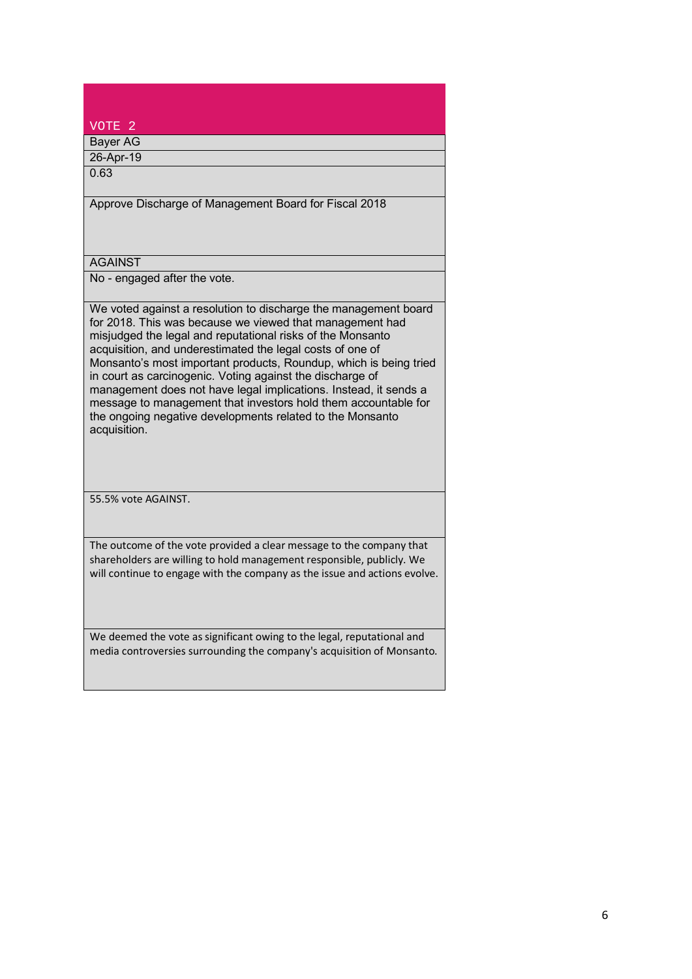| VOTE <sub>2</sub>                                                                                                                                                                                                                                                                                                                                                                                                                                                                                                                                                                                           |
|-------------------------------------------------------------------------------------------------------------------------------------------------------------------------------------------------------------------------------------------------------------------------------------------------------------------------------------------------------------------------------------------------------------------------------------------------------------------------------------------------------------------------------------------------------------------------------------------------------------|
| <b>Bayer AG</b>                                                                                                                                                                                                                                                                                                                                                                                                                                                                                                                                                                                             |
| 26-Apr-19                                                                                                                                                                                                                                                                                                                                                                                                                                                                                                                                                                                                   |
| 0.63                                                                                                                                                                                                                                                                                                                                                                                                                                                                                                                                                                                                        |
| Approve Discharge of Management Board for Fiscal 2018                                                                                                                                                                                                                                                                                                                                                                                                                                                                                                                                                       |
| <b>AGAINST</b>                                                                                                                                                                                                                                                                                                                                                                                                                                                                                                                                                                                              |
| No - engaged after the vote.                                                                                                                                                                                                                                                                                                                                                                                                                                                                                                                                                                                |
| We voted against a resolution to discharge the management board<br>for 2018. This was because we viewed that management had<br>misjudged the legal and reputational risks of the Monsanto<br>acquisition, and underestimated the legal costs of one of<br>Monsanto's most important products, Roundup, which is being tried<br>in court as carcinogenic. Voting against the discharge of<br>management does not have legal implications. Instead, it sends a<br>message to management that investors hold them accountable for<br>the ongoing negative developments related to the Monsanto<br>acquisition. |
| 55.5% vote AGAINST.                                                                                                                                                                                                                                                                                                                                                                                                                                                                                                                                                                                         |
| The outcome of the vote provided a clear message to the company that<br>shareholders are willing to hold management responsible, publicly. We<br>will continue to engage with the company as the issue and actions evolve.                                                                                                                                                                                                                                                                                                                                                                                  |
| We deemed the vote as significant owing to the legal, reputational and<br>media controversies surrounding the company's acquisition of Monsanto.                                                                                                                                                                                                                                                                                                                                                                                                                                                            |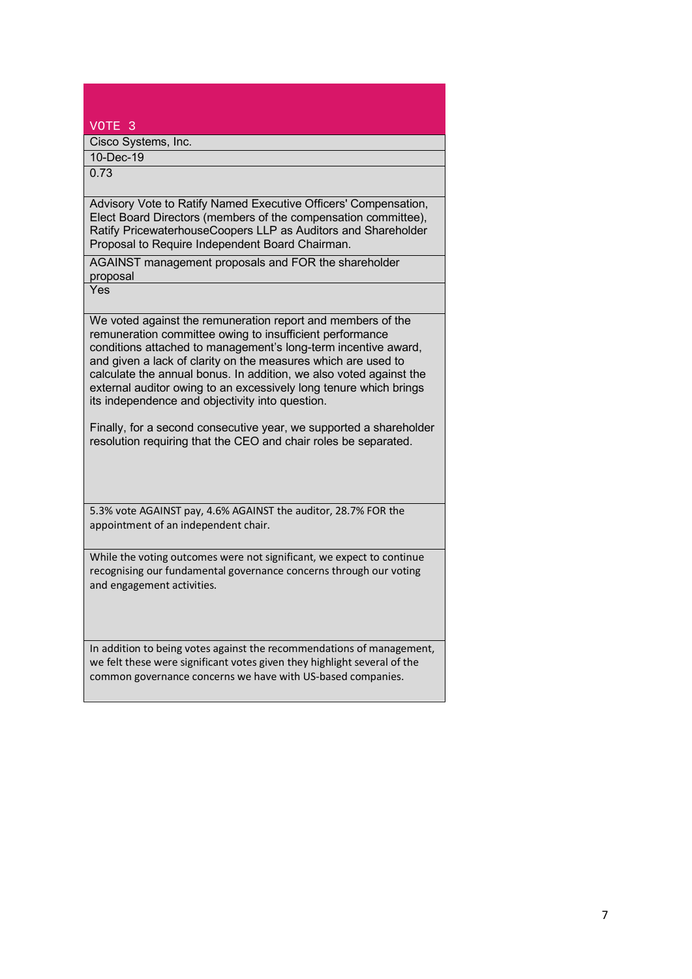| VOTE <sub>3</sub>                                                                                                                                                                                                                                                                                                                                                                                                                                        |
|----------------------------------------------------------------------------------------------------------------------------------------------------------------------------------------------------------------------------------------------------------------------------------------------------------------------------------------------------------------------------------------------------------------------------------------------------------|
| Cisco Systems, Inc.                                                                                                                                                                                                                                                                                                                                                                                                                                      |
| 10-Dec-19                                                                                                                                                                                                                                                                                                                                                                                                                                                |
| 0.73                                                                                                                                                                                                                                                                                                                                                                                                                                                     |
|                                                                                                                                                                                                                                                                                                                                                                                                                                                          |
| Advisory Vote to Ratify Named Executive Officers' Compensation,<br>Elect Board Directors (members of the compensation committee),<br>Ratify PricewaterhouseCoopers LLP as Auditors and Shareholder<br>Proposal to Require Independent Board Chairman.                                                                                                                                                                                                    |
| AGAINST management proposals and FOR the shareholder<br>proposal                                                                                                                                                                                                                                                                                                                                                                                         |
| Yes                                                                                                                                                                                                                                                                                                                                                                                                                                                      |
| We voted against the remuneration report and members of the<br>remuneration committee owing to insufficient performance<br>conditions attached to management's long-term incentive award,<br>and given a lack of clarity on the measures which are used to<br>calculate the annual bonus. In addition, we also voted against the<br>external auditor owing to an excessively long tenure which brings<br>its independence and objectivity into question. |
| Finally, for a second consecutive year, we supported a shareholder<br>resolution requiring that the CEO and chair roles be separated.                                                                                                                                                                                                                                                                                                                    |
| 5.3% vote AGAINST pay, 4.6% AGAINST the auditor, 28.7% FOR the<br>appointment of an independent chair.                                                                                                                                                                                                                                                                                                                                                   |
| While the voting outcomes were not significant, we expect to continue<br>recognising our fundamental governance concerns through our voting<br>and engagement activities.                                                                                                                                                                                                                                                                                |
| In addition to being votes against the recommendations of management,<br>we felt these were significant votes given they highlight several of the<br>common governance concerns we have with US-based companies.                                                                                                                                                                                                                                         |
|                                                                                                                                                                                                                                                                                                                                                                                                                                                          |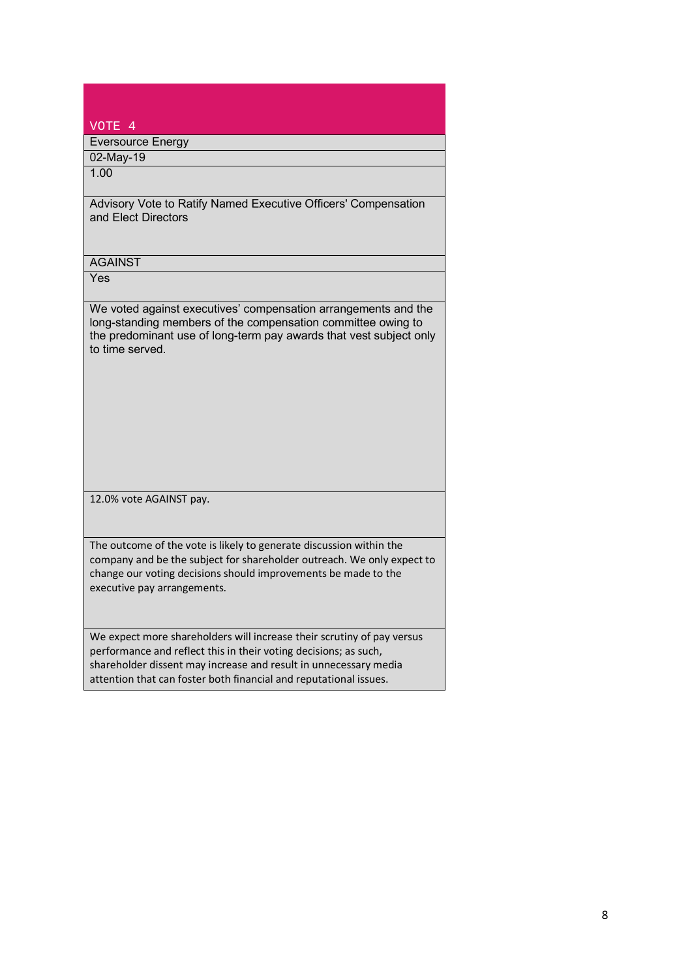| VOTE 4                                                                                                                                                                                                                                                                              |
|-------------------------------------------------------------------------------------------------------------------------------------------------------------------------------------------------------------------------------------------------------------------------------------|
| <b>Eversource Energy</b>                                                                                                                                                                                                                                                            |
| 02-May-19                                                                                                                                                                                                                                                                           |
| 1.00                                                                                                                                                                                                                                                                                |
| Advisory Vote to Ratify Named Executive Officers' Compensation<br>and Elect Directors                                                                                                                                                                                               |
| <b>AGAINST</b>                                                                                                                                                                                                                                                                      |
| Yes                                                                                                                                                                                                                                                                                 |
| We voted against executives' compensation arrangements and the<br>long-standing members of the compensation committee owing to<br>the predominant use of long-term pay awards that vest subject only<br>to time served.                                                             |
| 12.0% vote AGAINST pay.                                                                                                                                                                                                                                                             |
| The outcome of the vote is likely to generate discussion within the<br>company and be the subject for shareholder outreach. We only expect to<br>change our voting decisions should improvements be made to the<br>executive pay arrangements.                                      |
| We expect more shareholders will increase their scrutiny of pay versus<br>performance and reflect this in their voting decisions; as such,<br>shareholder dissent may increase and result in unnecessary media<br>attention that can foster both financial and reputational issues. |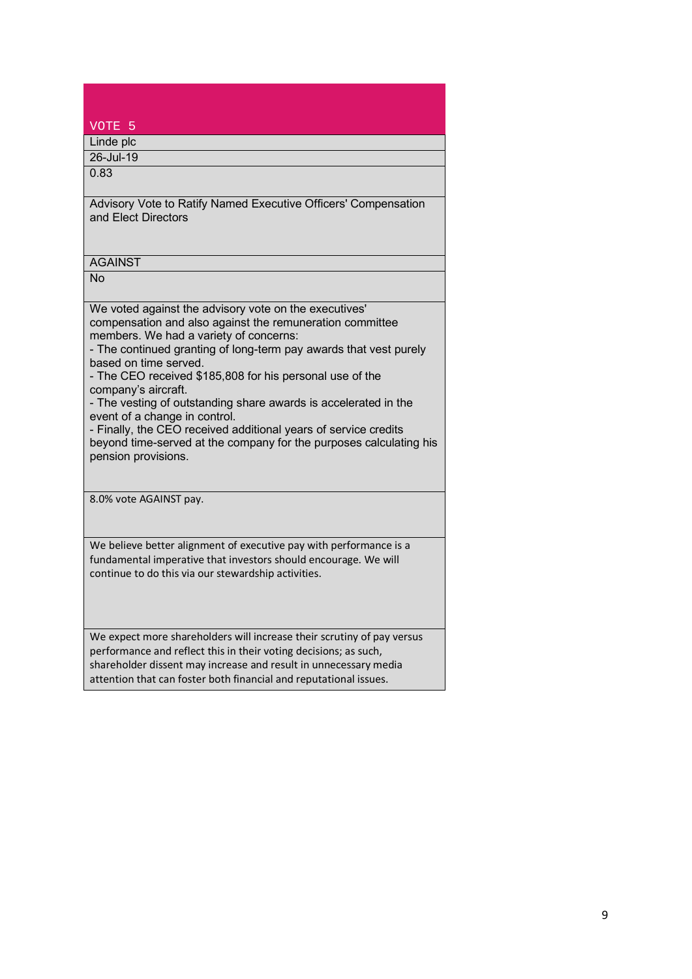| VOTE <sub>5</sub>                                                                                                                                                                                                                                                                                                                                                                                                                                                                                                                                                                                                                          |
|--------------------------------------------------------------------------------------------------------------------------------------------------------------------------------------------------------------------------------------------------------------------------------------------------------------------------------------------------------------------------------------------------------------------------------------------------------------------------------------------------------------------------------------------------------------------------------------------------------------------------------------------|
| Linde plc                                                                                                                                                                                                                                                                                                                                                                                                                                                                                                                                                                                                                                  |
| 26-Jul-19                                                                                                                                                                                                                                                                                                                                                                                                                                                                                                                                                                                                                                  |
| 0.83                                                                                                                                                                                                                                                                                                                                                                                                                                                                                                                                                                                                                                       |
| Advisory Vote to Ratify Named Executive Officers' Compensation<br>and Elect Directors                                                                                                                                                                                                                                                                                                                                                                                                                                                                                                                                                      |
| <b>AGAINST</b>                                                                                                                                                                                                                                                                                                                                                                                                                                                                                                                                                                                                                             |
| <b>No</b>                                                                                                                                                                                                                                                                                                                                                                                                                                                                                                                                                                                                                                  |
| We voted against the advisory vote on the executives'<br>compensation and also against the remuneration committee<br>members. We had a variety of concerns:<br>- The continued granting of long-term pay awards that vest purely<br>based on time served.<br>- The CEO received \$185,808 for his personal use of the<br>company's aircraft.<br>- The vesting of outstanding share awards is accelerated in the<br>event of a change in control.<br>- Finally, the CEO received additional years of service credits<br>beyond time-served at the company for the purposes calculating his<br>pension provisions.<br>8.0% vote AGAINST pay. |
|                                                                                                                                                                                                                                                                                                                                                                                                                                                                                                                                                                                                                                            |
| We believe better alignment of executive pay with performance is a<br>fundamental imperative that investors should encourage. We will<br>continue to do this via our stewardship activities.                                                                                                                                                                                                                                                                                                                                                                                                                                               |
| We expect more shareholders will increase their scrutiny of pay versus<br>performance and reflect this in their voting decisions; as such,<br>shareholder dissent may increase and result in unnecessary media<br>attention that can foster both financial and reputational issues.                                                                                                                                                                                                                                                                                                                                                        |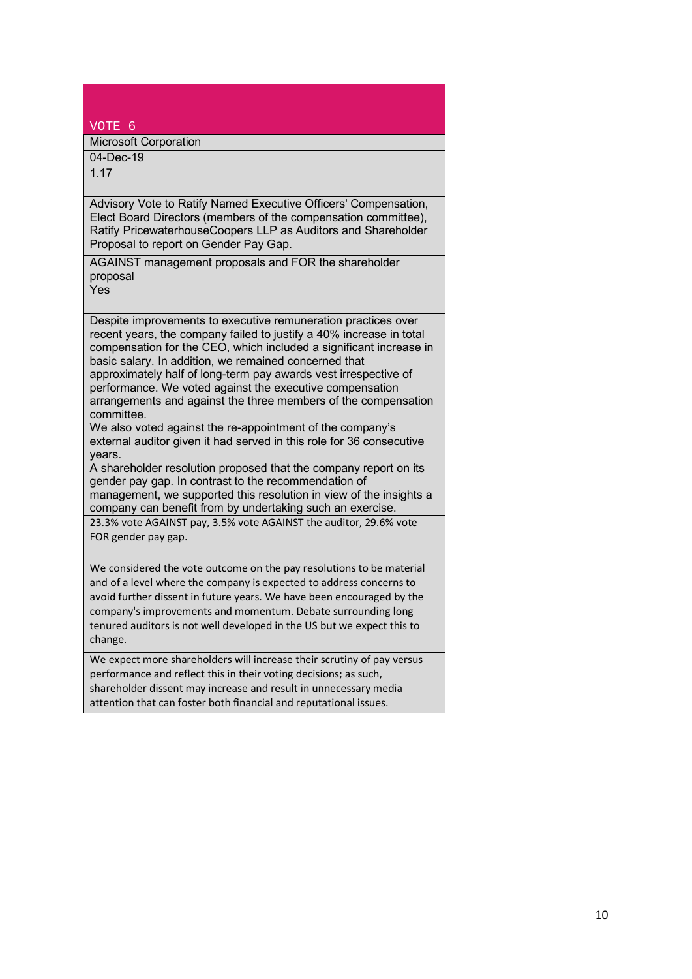| VOTE <sub>6</sub>                                                                                                                                                                                                                                                                                                                                                                                                                                                                                                                                                                                                                                                                                                                                                                                                                                                                                                                                                                            |
|----------------------------------------------------------------------------------------------------------------------------------------------------------------------------------------------------------------------------------------------------------------------------------------------------------------------------------------------------------------------------------------------------------------------------------------------------------------------------------------------------------------------------------------------------------------------------------------------------------------------------------------------------------------------------------------------------------------------------------------------------------------------------------------------------------------------------------------------------------------------------------------------------------------------------------------------------------------------------------------------|
| <b>Microsoft Corporation</b>                                                                                                                                                                                                                                                                                                                                                                                                                                                                                                                                                                                                                                                                                                                                                                                                                                                                                                                                                                 |
| $04 - Dec-19$                                                                                                                                                                                                                                                                                                                                                                                                                                                                                                                                                                                                                                                                                                                                                                                                                                                                                                                                                                                |
| 1.17                                                                                                                                                                                                                                                                                                                                                                                                                                                                                                                                                                                                                                                                                                                                                                                                                                                                                                                                                                                         |
| Advisory Vote to Ratify Named Executive Officers' Compensation,<br>Elect Board Directors (members of the compensation committee),<br>Ratify PricewaterhouseCoopers LLP as Auditors and Shareholder<br>Proposal to report on Gender Pay Gap.                                                                                                                                                                                                                                                                                                                                                                                                                                                                                                                                                                                                                                                                                                                                                  |
| AGAINST management proposals and FOR the shareholder<br>proposal                                                                                                                                                                                                                                                                                                                                                                                                                                                                                                                                                                                                                                                                                                                                                                                                                                                                                                                             |
| Yes                                                                                                                                                                                                                                                                                                                                                                                                                                                                                                                                                                                                                                                                                                                                                                                                                                                                                                                                                                                          |
| Despite improvements to executive remuneration practices over<br>recent years, the company failed to justify a 40% increase in total<br>compensation for the CEO, which included a significant increase in<br>basic salary. In addition, we remained concerned that<br>approximately half of long-term pay awards vest irrespective of<br>performance. We voted against the executive compensation<br>arrangements and against the three members of the compensation<br>committee.<br>We also voted against the re-appointment of the company's<br>external auditor given it had served in this role for 36 consecutive<br>years.<br>A shareholder resolution proposed that the company report on its<br>gender pay gap. In contrast to the recommendation of<br>management, we supported this resolution in view of the insights a<br>company can benefit from by undertaking such an exercise.<br>23.3% vote AGAINST pay, 3.5% vote AGAINST the auditor, 29.6% vote<br>FOR gender pay gap. |
| We considered the vote outcome on the pay resolutions to be material<br>and of a level where the company is expected to address concerns to<br>avoid further dissent in future years. We have been encouraged by the<br>company's improvements and momentum. Debate surrounding long<br>tenured auditors is not well developed in the US but we expect this to<br>change.                                                                                                                                                                                                                                                                                                                                                                                                                                                                                                                                                                                                                    |
| We expect more shareholders will increase their scrutiny of pay versus<br>performance and reflect this in their voting decisions; as such,<br>shareholder dissent may increase and result in unnecessary media<br>attention that can foster both financial and reputational issues.                                                                                                                                                                                                                                                                                                                                                                                                                                                                                                                                                                                                                                                                                                          |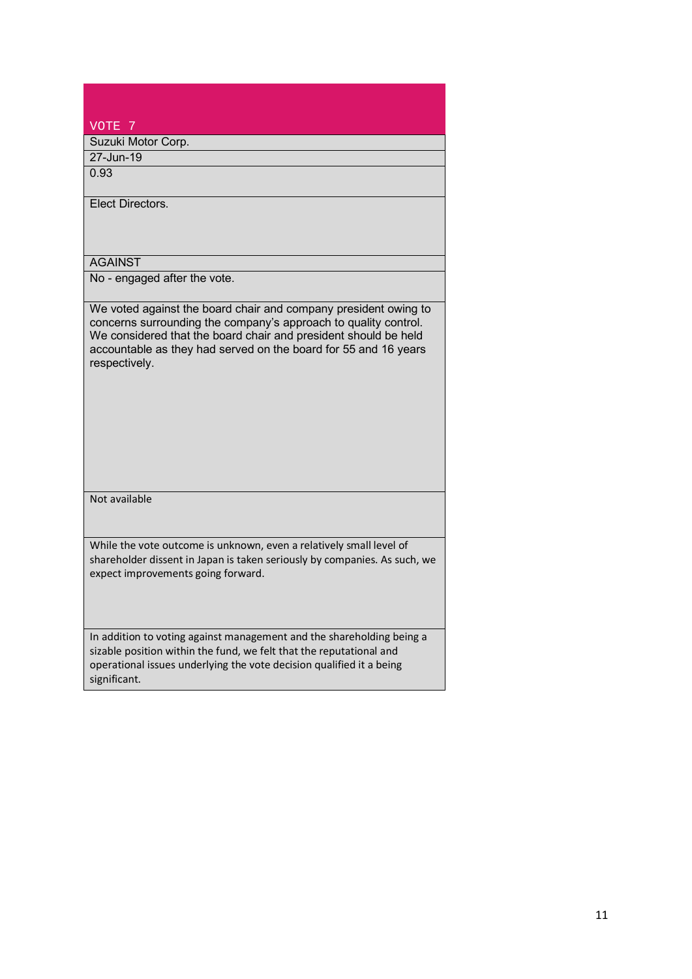| VOTE <sub>7</sub>                                                                                                                                                                                                                                                                         |
|-------------------------------------------------------------------------------------------------------------------------------------------------------------------------------------------------------------------------------------------------------------------------------------------|
| Suzuki Motor Corp.                                                                                                                                                                                                                                                                        |
| 27-Jun-19                                                                                                                                                                                                                                                                                 |
| 0.93                                                                                                                                                                                                                                                                                      |
| Elect Directors.                                                                                                                                                                                                                                                                          |
| <b>AGAINST</b>                                                                                                                                                                                                                                                                            |
| No - engaged after the vote.                                                                                                                                                                                                                                                              |
| We voted against the board chair and company president owing to<br>concerns surrounding the company's approach to quality control.<br>We considered that the board chair and president should be held<br>accountable as they had served on the board for 55 and 16 years<br>respectively. |
| Not available                                                                                                                                                                                                                                                                             |
| While the vote outcome is unknown, even a relatively small level of<br>shareholder dissent in Japan is taken seriously by companies. As such, we<br>expect improvements going forward.                                                                                                    |
| In addition to voting against management and the shareholding being a<br>sizable position within the fund, we felt that the reputational and<br>operational issues underlying the vote decision qualified it a being<br>significant.                                                      |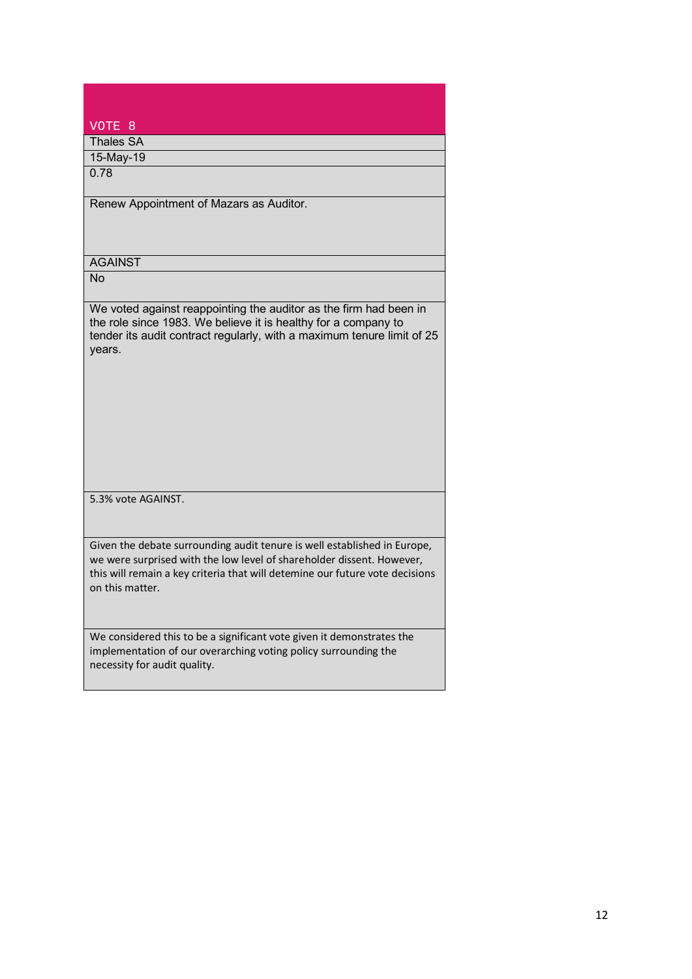| VOTE 8                                                                                                                                                                                                                                               |
|------------------------------------------------------------------------------------------------------------------------------------------------------------------------------------------------------------------------------------------------------|
| <b>Thales SA</b>                                                                                                                                                                                                                                     |
| 15-May-19                                                                                                                                                                                                                                            |
| 0.78                                                                                                                                                                                                                                                 |
| Renew Appointment of Mazars as Auditor.                                                                                                                                                                                                              |
| <b>AGAINST</b>                                                                                                                                                                                                                                       |
| $\overline{No}$                                                                                                                                                                                                                                      |
| We voted against reappointing the auditor as the firm had been in<br>the role since 1983. We believe it is healthy for a company to<br>tender its audit contract regularly, with a maximum tenure limit of 25<br>years.                              |
| 5.3% vote AGAINST.                                                                                                                                                                                                                                   |
| Given the debate surrounding audit tenure is well established in Europe,<br>we were surprised with the low level of shareholder dissent. However,<br>this will remain a key criteria that will detemine our future vote decisions<br>on this matter. |
| We considered this to be a significant vote given it demonstrates the<br>implementation of our overarching voting policy surrounding the<br>necessity for audit quality.                                                                             |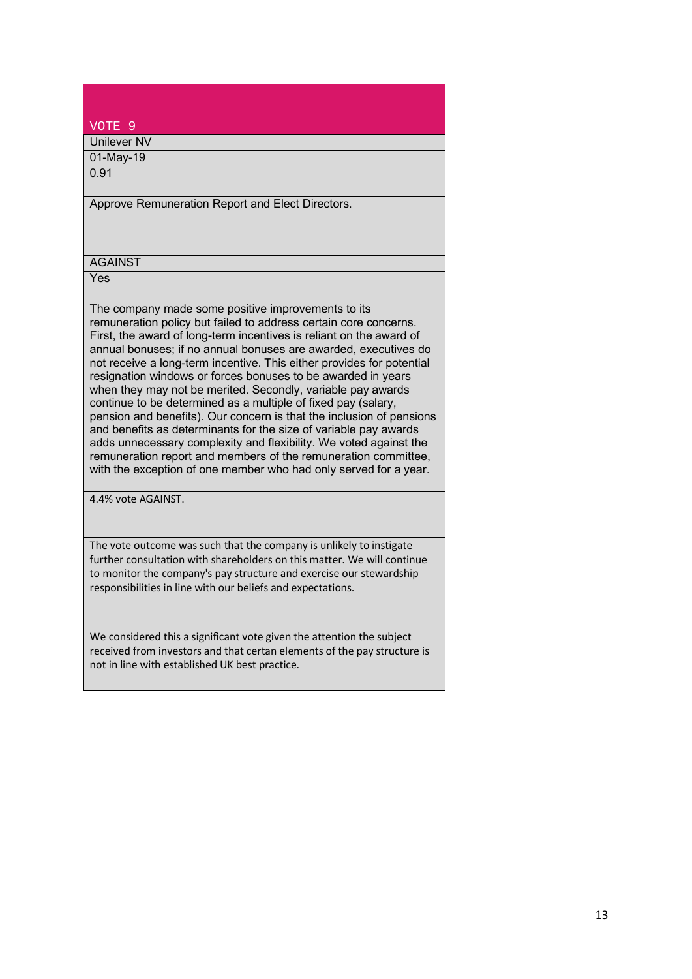| VOTE <sub>9</sub>                                                                                                                       |
|-----------------------------------------------------------------------------------------------------------------------------------------|
| Unilever NV                                                                                                                             |
| 01-May-19                                                                                                                               |
| 0.91                                                                                                                                    |
|                                                                                                                                         |
| Approve Remuneration Report and Elect Directors.                                                                                        |
|                                                                                                                                         |
|                                                                                                                                         |
| <b>AGAINST</b>                                                                                                                          |
| Yes                                                                                                                                     |
|                                                                                                                                         |
| The company made some positive improvements to its                                                                                      |
| remuneration policy but failed to address certain core concerns.<br>First, the award of long-term incentives is reliant on the award of |
| annual bonuses; if no annual bonuses are awarded, executives do                                                                         |
| not receive a long-term incentive. This either provides for potential                                                                   |
| resignation windows or forces bonuses to be awarded in years                                                                            |
| when they may not be merited. Secondly, variable pay awards                                                                             |
| continue to be determined as a multiple of fixed pay (salary,<br>pension and benefits). Our concern is that the inclusion of pensions   |
| and benefits as determinants for the size of variable pay awards                                                                        |
| adds unnecessary complexity and flexibility. We voted against the                                                                       |
| remuneration report and members of the remuneration committee,                                                                          |
| with the exception of one member who had only served for a year.                                                                        |
| 4.4% vote AGAINST.                                                                                                                      |
|                                                                                                                                         |

The vote outcome was such that the company is unlikely to instigate further consultation with shareholders on this matter. We will continue to monitor the company's pay structure and exercise our stewardship responsibilities in line with our beliefs and expectations.

We considered this a significant vote given the attention the subject received from investors and that certan elements of the pay structure is not in line with established UK best practice.